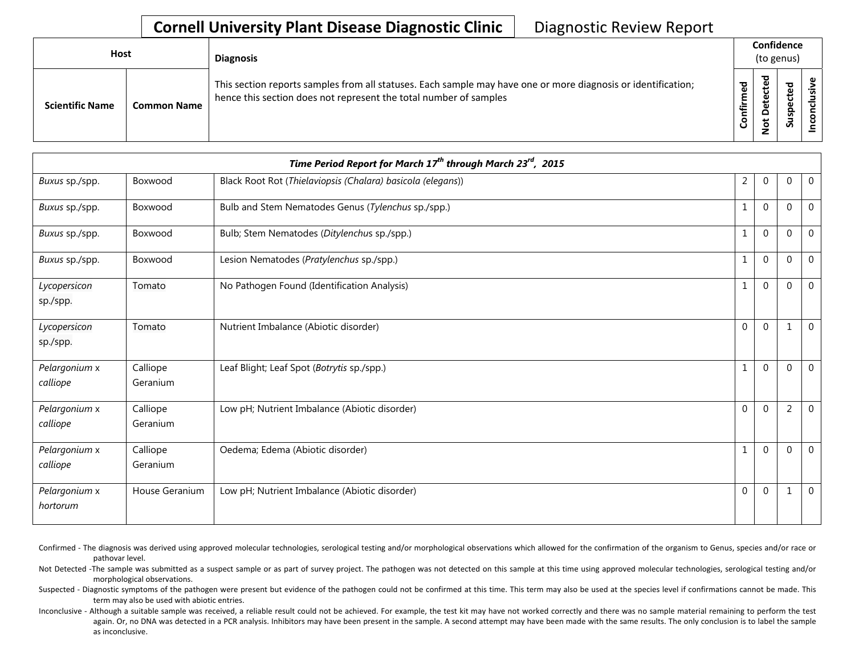## **Cornell University Plant Disease Diagnostic Clinic** | Diagnostic Review Report

| <b>Host</b>                                  | <b>Diagnosis</b>                                                                                                                                                                   | Confidence<br>(to genus) |                          |                    |  |
|----------------------------------------------|------------------------------------------------------------------------------------------------------------------------------------------------------------------------------------|--------------------------|--------------------------|--------------------|--|
| <b>Scientific Name</b><br><b>Common Name</b> | This section reports samples from all statuses. Each sample may have one or more diagnosis or identification;<br>hence this section does not represent the total number of samples | ਠ<br>٤<br>≐.<br>Έ<br>ပ   | ω<br>. .<br>ዴ<br>پ<br>ءِ | ъ<br>ω<br>င္တ<br>S |  |

| Time Period Report for March 17 <sup>th</sup> through March 23 <sup>rd</sup> , 2015 |                      |                                                             |                |              |                |              |  |
|-------------------------------------------------------------------------------------|----------------------|-------------------------------------------------------------|----------------|--------------|----------------|--------------|--|
| Buxus sp./spp.                                                                      | Boxwood              | Black Root Rot (Thielaviopsis (Chalara) basicola (elegans)) | $\overline{2}$ | $\Omega$     | 0              | $\mathbf 0$  |  |
| Buxus sp./spp.                                                                      | Boxwood              | Bulb and Stem Nematodes Genus (Tylenchus sp./spp.)          | $\mathbf{1}$   | $\mathbf{0}$ | $\Omega$       | $\mathbf{0}$ |  |
| Buxus sp./spp.                                                                      | Boxwood              | Bulb; Stem Nematodes (Ditylenchus sp./spp.)                 | $\mathbf{1}$   | $\Omega$     | $\Omega$       | $\mathbf 0$  |  |
| Buxus sp./spp.                                                                      | Boxwood              | Lesion Nematodes (Pratylenchus sp./spp.)                    | $\mathbf{1}$   | $\Omega$     | $\Omega$       | $\mathbf{0}$ |  |
| Lycopersicon<br>sp./spp.                                                            | Tomato               | No Pathogen Found (Identification Analysis)                 | $\mathbf{1}$   | $\Omega$     | $\Omega$       | $\mathbf{0}$ |  |
| Lycopersicon<br>sp./spp.                                                            | Tomato               | Nutrient Imbalance (Abiotic disorder)                       | $\mathbf{0}$   | $\Omega$     | 1              | $\mathbf 0$  |  |
| Pelargonium x<br>calliope                                                           | Calliope<br>Geranium | Leaf Blight; Leaf Spot (Botrytis sp./spp.)                  | $\mathbf{1}$   | $\Omega$     | $\Omega$       | $\mathbf 0$  |  |
| Pelargonium x<br>calliope                                                           | Calliope<br>Geranium | Low pH; Nutrient Imbalance (Abiotic disorder)               | $\Omega$       | $\Omega$     | $\overline{2}$ | $\mathbf{0}$ |  |
| Pelargonium x<br>calliope                                                           | Calliope<br>Geranium | Oedema; Edema (Abiotic disorder)                            | $\mathbf{1}$   | $\mathbf{0}$ | $\mathbf 0$    | $\mathbf 0$  |  |
| Pelargonium x<br>hortorum                                                           | House Geranium       | Low pH; Nutrient Imbalance (Abiotic disorder)               | $\Omega$       | $\Omega$     | 1              | $\mathbf{0}$ |  |

Confirmed - The diagnosis was derived using approved molecular technologies, serological testing and/or morphological observations which allowed for the confirmation of the organism to Genus, species and/or race or pathovar level.

Not Detected -The sample was submitted as a suspect sample or as part of survey project. The pathogen was not detected on this sample at this time using approved molecular technologies, serological testing and/or morphological observations.

Suspected - Diagnostic symptoms of the pathogen were present but evidence of the pathogen could not be confirmed at this time. This term may also be used at the species level if confirmations cannot be made. This term may also be used with abiotic entries.

Inconclusive - Although a suitable sample was received, a reliable result could not be achieved. For example, the test kit may have not worked correctly and there was no sample material remaining to perform the test again. Or, no DNA was detected in a PCR analysis. Inhibitors may have been present in the sample. A second attempt may have been made with the same results. The only conclusion is to label the sample as inconclusive.